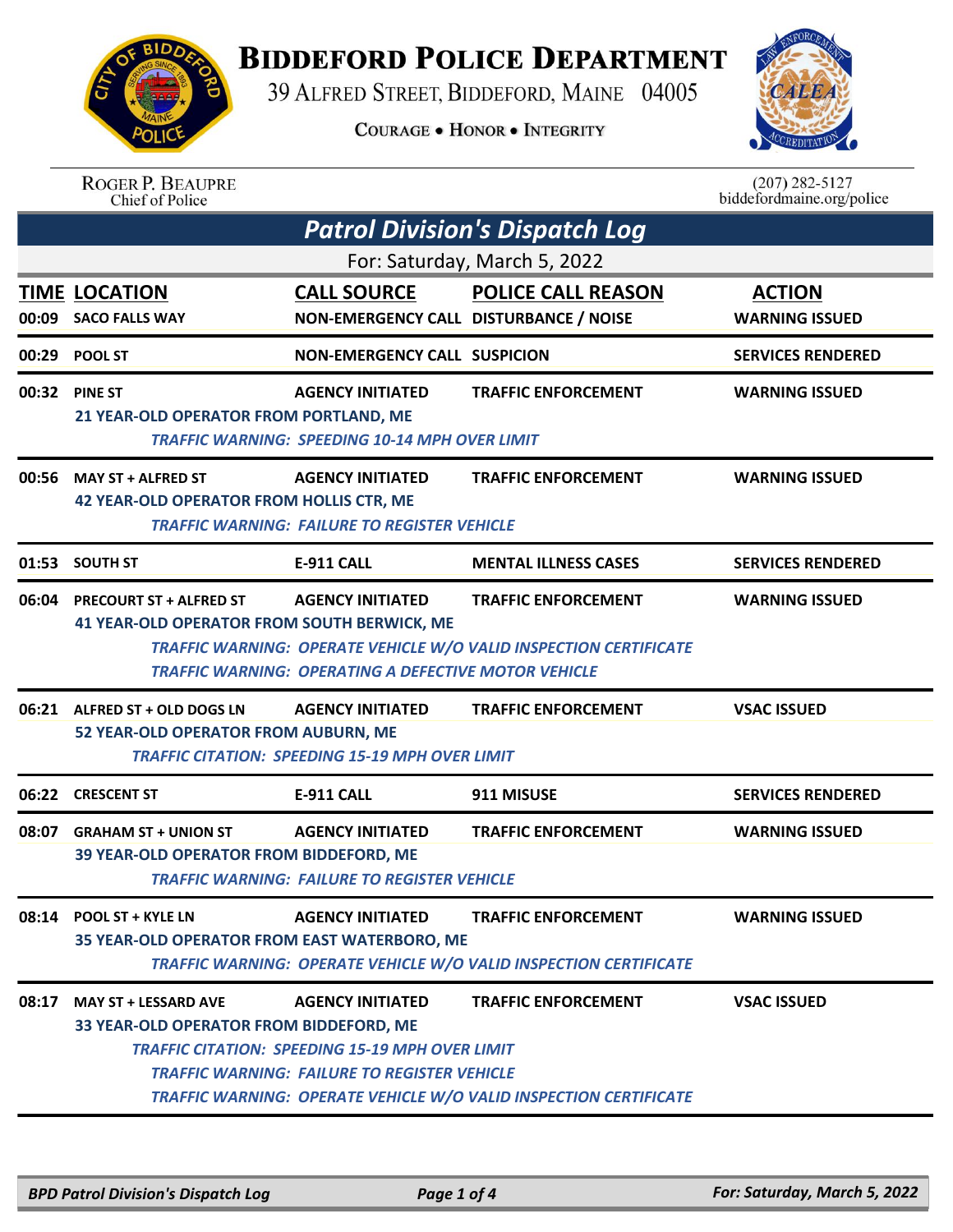

## **BIDDEFORD POLICE DEPARTMENT**

39 ALFRED STREET, BIDDEFORD, MAINE 04005

**COURAGE . HONOR . INTEGRITY** 



| <b>ROGER P. BEAUPRE</b> |
|-------------------------|
| Chief of Police         |

 $(207)$  282-5127<br>biddefordmaine.org/police

| <b>Patrol Division's Dispatch Log</b>                                               |                                                                                                                                          |                                                                                                        |                                        |  |  |
|-------------------------------------------------------------------------------------|------------------------------------------------------------------------------------------------------------------------------------------|--------------------------------------------------------------------------------------------------------|----------------------------------------|--|--|
| For: Saturday, March 5, 2022                                                        |                                                                                                                                          |                                                                                                        |                                        |  |  |
| <b>TIME LOCATION</b><br>00:09 SACO FALLS WAY                                        | <b>CALL SOURCE</b><br>NON-EMERGENCY CALL DISTURBANCE / NOISE                                                                             | <b>POLICE CALL REASON</b>                                                                              | <b>ACTION</b><br><b>WARNING ISSUED</b> |  |  |
| 00:29 POOL ST                                                                       | <b>NON-EMERGENCY CALL SUSPICION</b>                                                                                                      |                                                                                                        | <b>SERVICES RENDERED</b>               |  |  |
| 00:32 PINE ST<br>21 YEAR-OLD OPERATOR FROM PORTLAND, ME                             | <b>AGENCY INITIATED</b><br><b>TRAFFIC WARNING: SPEEDING 10-14 MPH OVER LIMIT</b>                                                         | <b>TRAFFIC ENFORCEMENT</b>                                                                             | <b>WARNING ISSUED</b>                  |  |  |
| 00:56 MAY ST + ALFRED ST<br><b>42 YEAR-OLD OPERATOR FROM HOLLIS CTR, ME</b>         | <b>AGENCY INITIATED</b><br><b>TRAFFIC WARNING: FAILURE TO REGISTER VEHICLE</b>                                                           | <b>TRAFFIC ENFORCEMENT</b>                                                                             | <b>WARNING ISSUED</b>                  |  |  |
| 01:53 SOUTH ST                                                                      | <b>E-911 CALL</b>                                                                                                                        | <b>MENTAL ILLNESS CASES</b>                                                                            | <b>SERVICES RENDERED</b>               |  |  |
| 06:04 PRECOURT ST + ALFRED ST<br><b>41 YEAR-OLD OPERATOR FROM SOUTH BERWICK, ME</b> | <b>AGENCY INITIATED</b><br><b>TRAFFIC WARNING: OPERATING A DEFECTIVE MOTOR VEHICLE</b>                                                   | <b>TRAFFIC ENFORCEMENT</b><br>TRAFFIC WARNING: OPERATE VEHICLE W/O VALID INSPECTION CERTIFICATE        | <b>WARNING ISSUED</b>                  |  |  |
| 06:21 ALFRED ST + OLD DOGS LN<br>52 YEAR-OLD OPERATOR FROM AUBURN, ME               | <b>AGENCY INITIATED</b><br><b>TRAFFIC CITATION: SPEEDING 15-19 MPH OVER LIMIT</b>                                                        | <b>TRAFFIC ENFORCEMENT</b>                                                                             | <b>VSAC ISSUED</b>                     |  |  |
| 06:22 CRESCENT ST                                                                   | <b>E-911 CALL</b>                                                                                                                        | 911 MISUSE                                                                                             | <b>SERVICES RENDERED</b>               |  |  |
| 08:07 GRAHAM ST + UNION ST<br>39 YEAR-OLD OPERATOR FROM BIDDEFORD, ME               | <b>AGENCY INITIATED</b><br><b>TRAFFIC WARNING: FAILURE TO REGISTER VEHICLE</b>                                                           | <b>TRAFFIC ENFORCEMENT</b>                                                                             | <b>WARNING ISSUED</b>                  |  |  |
| 08:14 POOL ST + KYLE LN<br>35 YEAR-OLD OPERATOR FROM EAST WATERBORO, ME             | <b>AGENCY INITIATED</b>                                                                                                                  | <b>TRAFFIC ENFORCEMENT</b><br><b>TRAFFIC WARNING: OPERATE VEHICLE W/O VALID INSPECTION CERTIFICATE</b> | <b>WARNING ISSUED</b>                  |  |  |
| 08:17 MAY ST + LESSARD AVE<br>33 YEAR-OLD OPERATOR FROM BIDDEFORD, ME               | <b>AGENCY INITIATED</b><br><b>TRAFFIC CITATION: SPEEDING 15-19 MPH OVER LIMIT</b><br><b>TRAFFIC WARNING: FAILURE TO REGISTER VEHICLE</b> | <b>TRAFFIC ENFORCEMENT</b><br>TRAFFIC WARNING: OPERATE VEHICLE W/O VALID INSPECTION CERTIFICATE        | <b>VSAC ISSUED</b>                     |  |  |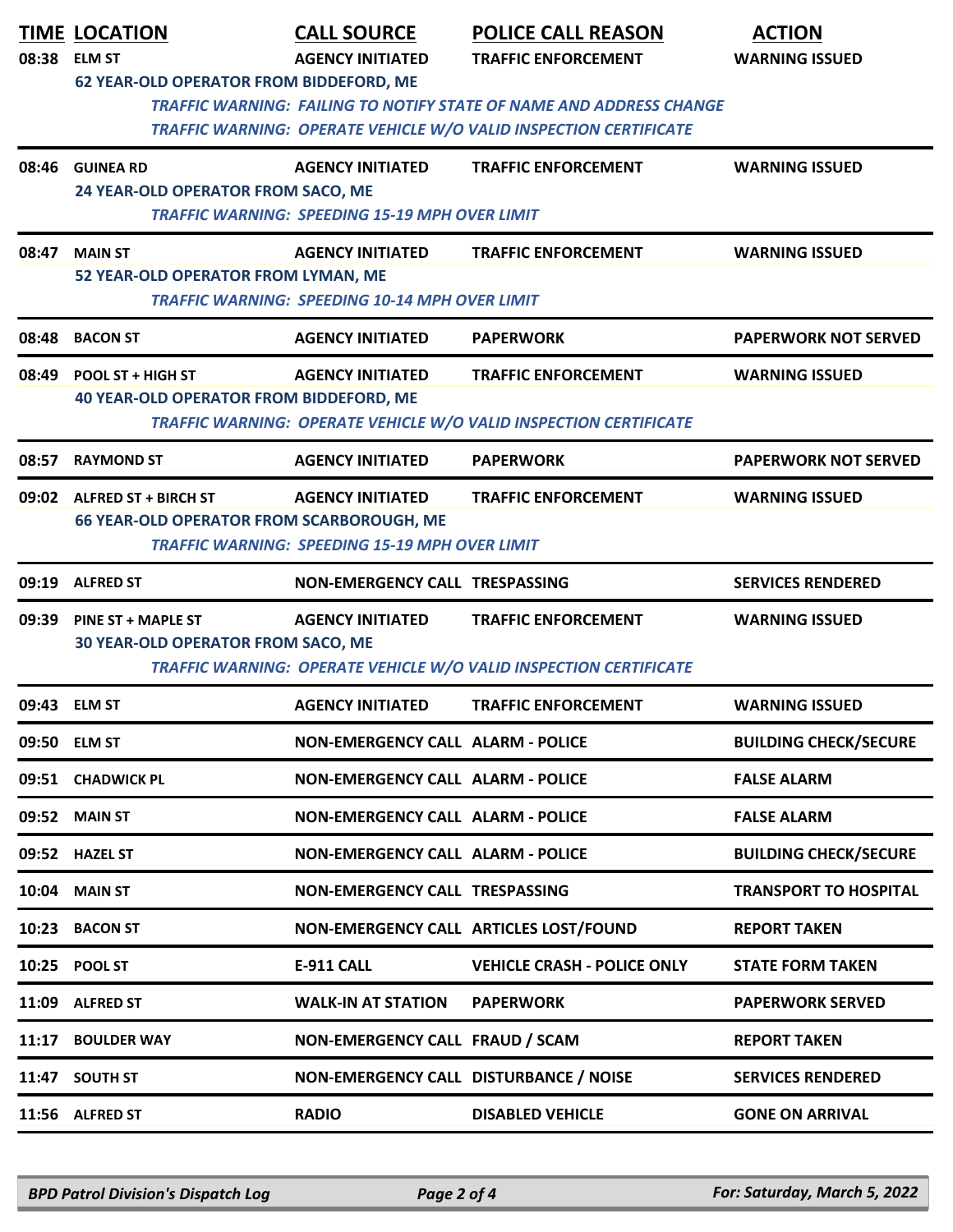| 08:38 | <b>TIME LOCATION</b><br><b>ELM ST</b><br><b>62 YEAR-OLD OPERATOR FROM BIDDEFORD, ME</b> | <b>CALL SOURCE</b><br><b>AGENCY INITIATED</b>                                    | <b>POLICE CALL REASON</b><br><b>TRAFFIC ENFORCEMENT</b>                                                                                         | <b>ACTION</b><br><b>WARNING ISSUED</b> |
|-------|-----------------------------------------------------------------------------------------|----------------------------------------------------------------------------------|-------------------------------------------------------------------------------------------------------------------------------------------------|----------------------------------------|
|       |                                                                                         |                                                                                  | <b>TRAFFIC WARNING: FAILING TO NOTIFY STATE OF NAME AND ADDRESS CHANGE</b><br>TRAFFIC WARNING: OPERATE VEHICLE W/O VALID INSPECTION CERTIFICATE |                                        |
| 08:46 | <b>GUINEA RD</b><br>24 YEAR-OLD OPERATOR FROM SACO, ME                                  | <b>AGENCY INITIATED</b><br><b>TRAFFIC WARNING: SPEEDING 15-19 MPH OVER LIMIT</b> | <b>TRAFFIC ENFORCEMENT</b>                                                                                                                      | <b>WARNING ISSUED</b>                  |
| 08:47 | <b>MAIN ST</b><br>52 YEAR-OLD OPERATOR FROM LYMAN, ME                                   | <b>AGENCY INITIATED</b><br><b>TRAFFIC WARNING: SPEEDING 10-14 MPH OVER LIMIT</b> | <b>TRAFFIC ENFORCEMENT</b>                                                                                                                      | <b>WARNING ISSUED</b>                  |
| 08:48 | <b>BACON ST</b>                                                                         | <b>AGENCY INITIATED</b>                                                          | <b>PAPERWORK</b>                                                                                                                                | <b>PAPERWORK NOT SERVED</b>            |
| 08:49 | POOL ST + HIGH ST<br><b>40 YEAR-OLD OPERATOR FROM BIDDEFORD, ME</b>                     | <b>AGENCY INITIATED</b>                                                          | <b>TRAFFIC ENFORCEMENT</b><br>TRAFFIC WARNING: OPERATE VEHICLE W/O VALID INSPECTION CERTIFICATE                                                 | <b>WARNING ISSUED</b>                  |
| 08:57 | <b>RAYMOND ST</b>                                                                       | <b>AGENCY INITIATED</b>                                                          | <b>PAPERWORK</b>                                                                                                                                | <b>PAPERWORK NOT SERVED</b>            |
|       | 09:02 ALFRED ST + BIRCH ST<br><b>66 YEAR-OLD OPERATOR FROM SCARBOROUGH, ME</b>          | <b>AGENCY INITIATED</b><br><b>TRAFFIC WARNING: SPEEDING 15-19 MPH OVER LIMIT</b> | <b>TRAFFIC ENFORCEMENT</b>                                                                                                                      | <b>WARNING ISSUED</b>                  |
| 09:19 | <b>ALFRED ST</b>                                                                        | NON-EMERGENCY CALL TRESPASSING                                                   |                                                                                                                                                 | <b>SERVICES RENDERED</b>               |
| 09:39 | PINE ST + MAPLE ST<br><b>30 YEAR-OLD OPERATOR FROM SACO, ME</b>                         | <b>AGENCY INITIATED</b>                                                          | <b>TRAFFIC ENFORCEMENT</b><br>TRAFFIC WARNING: OPERATE VEHICLE W/O VALID INSPECTION CERTIFICATE                                                 | <b>WARNING ISSUED</b>                  |
|       | 09:43 ELM ST                                                                            | <b>AGENCY INITIATED</b>                                                          | <b>TRAFFIC ENFORCEMENT</b>                                                                                                                      | <b>WARNING ISSUED</b>                  |
|       | 09:50 ELM ST                                                                            | <b>NON-EMERGENCY CALL ALARM - POLICE</b>                                         |                                                                                                                                                 | <b>BUILDING CHECK/SECURE</b>           |
|       | 09:51 CHADWICK PL                                                                       | <b>NON-EMERGENCY CALL ALARM - POLICE</b>                                         |                                                                                                                                                 | <b>FALSE ALARM</b>                     |
| 09:52 | <b>MAIN ST</b>                                                                          | <b>NON-EMERGENCY CALL ALARM - POLICE</b>                                         |                                                                                                                                                 | <b>FALSE ALARM</b>                     |
|       | 09:52 HAZEL ST                                                                          | <b>NON-EMERGENCY CALL ALARM - POLICE</b>                                         |                                                                                                                                                 | <b>BUILDING CHECK/SECURE</b>           |
| 10:04 | <b>MAIN ST</b>                                                                          | NON-EMERGENCY CALL TRESPASSING                                                   |                                                                                                                                                 | <b>TRANSPORT TO HOSPITAL</b>           |
| 10:23 | <b>BACON ST</b>                                                                         |                                                                                  | NON-EMERGENCY CALL ARTICLES LOST/FOUND                                                                                                          | <b>REPORT TAKEN</b>                    |
|       | 10:25 POOL ST                                                                           | <b>E-911 CALL</b>                                                                | <b>VEHICLE CRASH - POLICE ONLY</b>                                                                                                              | <b>STATE FORM TAKEN</b>                |
| 11:09 | <b>ALFRED ST</b>                                                                        | <b>WALK-IN AT STATION</b>                                                        | <b>PAPERWORK</b>                                                                                                                                | <b>PAPERWORK SERVED</b>                |
| 11:17 | <b>BOULDER WAY</b>                                                                      | NON-EMERGENCY CALL FRAUD / SCAM                                                  |                                                                                                                                                 | <b>REPORT TAKEN</b>                    |
|       | 11:47 SOUTH ST                                                                          | NON-EMERGENCY CALL DISTURBANCE / NOISE                                           |                                                                                                                                                 | <b>SERVICES RENDERED</b>               |
|       | 11:56 ALFRED ST                                                                         | <b>RADIO</b>                                                                     | <b>DISABLED VEHICLE</b>                                                                                                                         | <b>GONE ON ARRIVAL</b>                 |

*BPD Patrol Division's Dispatch Log Page 2 of 4 For: Saturday, March 5, 2022*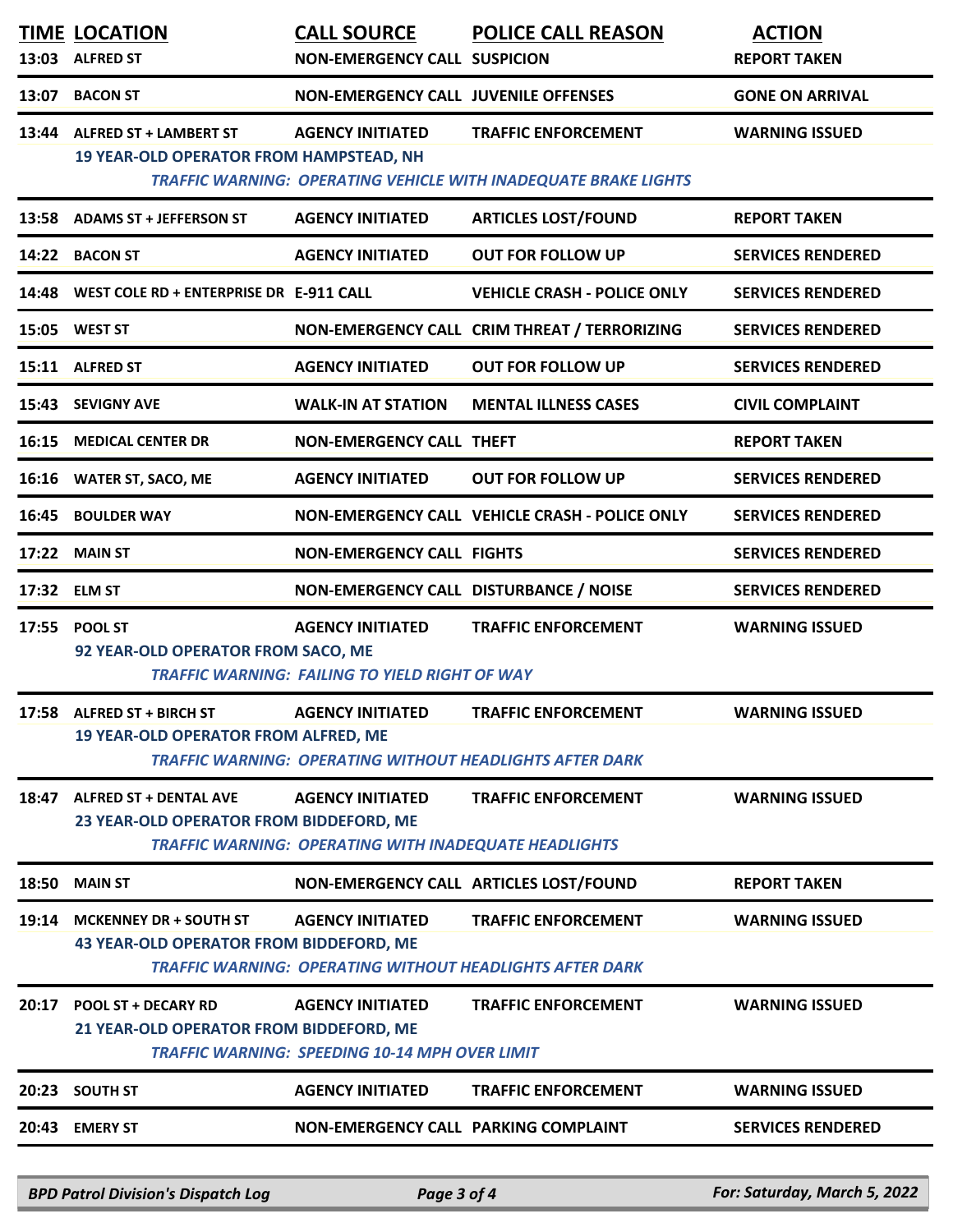|       | <b>TIME LOCATION</b><br>13:03 ALFRED ST                                   | <b>CALL SOURCE</b><br><b>NON-EMERGENCY CALL SUSPICION</b>                               | <b>POLICE CALL REASON</b>                                                                     | <b>ACTION</b><br><b>REPORT TAKEN</b> |
|-------|---------------------------------------------------------------------------|-----------------------------------------------------------------------------------------|-----------------------------------------------------------------------------------------------|--------------------------------------|
| 13:07 | <b>BACON ST</b>                                                           | <b>NON-EMERGENCY CALL JUVENILE OFFENSES</b>                                             |                                                                                               | <b>GONE ON ARRIVAL</b>               |
| 13:44 | <b>ALFRED ST + LAMBERT ST</b><br>19 YEAR-OLD OPERATOR FROM HAMPSTEAD, NH  | <b>AGENCY INITIATED</b>                                                                 | <b>TRAFFIC ENFORCEMENT</b><br>TRAFFIC WARNING: OPERATING VEHICLE WITH INADEQUATE BRAKE LIGHTS | <b>WARNING ISSUED</b>                |
|       | 13:58 ADAMS ST + JEFFERSON ST                                             | <b>AGENCY INITIATED</b>                                                                 | <b>ARTICLES LOST/FOUND</b>                                                                    | <b>REPORT TAKEN</b>                  |
|       | 14:22 BACON ST                                                            | <b>AGENCY INITIATED</b>                                                                 | <b>OUT FOR FOLLOW UP</b>                                                                      | <b>SERVICES RENDERED</b>             |
| 14:48 | WEST COLE RD + ENTERPRISE DR E-911 CALL                                   |                                                                                         | <b>VEHICLE CRASH - POLICE ONLY</b>                                                            | <b>SERVICES RENDERED</b>             |
|       | 15:05 WEST ST                                                             |                                                                                         | NON-EMERGENCY CALL CRIM THREAT / TERRORIZING                                                  | <b>SERVICES RENDERED</b>             |
|       | 15:11 ALFRED ST                                                           | <b>AGENCY INITIATED</b>                                                                 | <b>OUT FOR FOLLOW UP</b>                                                                      | <b>SERVICES RENDERED</b>             |
| 15:43 | <b>SEVIGNY AVE</b>                                                        | <b>WALK-IN AT STATION</b>                                                               | <b>MENTAL ILLNESS CASES</b>                                                                   | <b>CIVIL COMPLAINT</b>               |
| 16:15 | <b>MEDICAL CENTER DR</b>                                                  | <b>NON-EMERGENCY CALL THEFT</b>                                                         |                                                                                               | <b>REPORT TAKEN</b>                  |
|       | 16:16 WATER ST, SACO, ME                                                  | <b>AGENCY INITIATED</b>                                                                 | <b>OUT FOR FOLLOW UP</b>                                                                      | <b>SERVICES RENDERED</b>             |
| 16:45 | <b>BOULDER WAY</b>                                                        |                                                                                         | NON-EMERGENCY CALL VEHICLE CRASH - POLICE ONLY                                                | <b>SERVICES RENDERED</b>             |
| 17:22 | <b>MAIN ST</b>                                                            | <b>NON-EMERGENCY CALL FIGHTS</b>                                                        |                                                                                               | <b>SERVICES RENDERED</b>             |
| 17:32 | <b>ELM ST</b>                                                             | NON-EMERGENCY CALL DISTURBANCE / NOISE                                                  |                                                                                               | <b>SERVICES RENDERED</b>             |
| 17:55 | <b>POOL ST</b><br>92 YEAR-OLD OPERATOR FROM SACO, ME                      | <b>AGENCY INITIATED</b><br><b>TRAFFIC WARNING: FAILING TO YIELD RIGHT OF WAY</b>        | <b>TRAFFIC ENFORCEMENT</b>                                                                    | <b>WARNING ISSUED</b>                |
|       | 17:58 ALFRED ST + BIRCH ST<br><b>19 YEAR-OLD OPERATOR FROM ALFRED, ME</b> | <b>AGENCY INITIATED</b>                                                                 | <b>TRAFFIC ENFORCEMENT</b><br><b>TRAFFIC WARNING: OPERATING WITHOUT HEADLIGHTS AFTER DARK</b> | <b>WARNING ISSUED</b>                |
| 18:47 | <b>ALFRED ST + DENTAL AVE</b><br>23 YEAR-OLD OPERATOR FROM BIDDEFORD, ME  | <b>AGENCY INITIATED</b><br><b>TRAFFIC WARNING: OPERATING WITH INADEQUATE HEADLIGHTS</b> | <b>TRAFFIC ENFORCEMENT</b>                                                                    | <b>WARNING ISSUED</b>                |
| 18:50 | <b>MAIN ST</b>                                                            |                                                                                         | NON-EMERGENCY CALL ARTICLES LOST/FOUND                                                        | <b>REPORT TAKEN</b>                  |
| 19:14 | <b>MCKENNEY DR + SOUTH ST</b><br>43 YEAR-OLD OPERATOR FROM BIDDEFORD, ME  | <b>AGENCY INITIATED</b>                                                                 | <b>TRAFFIC ENFORCEMENT</b><br><b>TRAFFIC WARNING: OPERATING WITHOUT HEADLIGHTS AFTER DARK</b> | <b>WARNING ISSUED</b>                |
| 20:17 | <b>POOL ST + DECARY RD</b><br>21 YEAR-OLD OPERATOR FROM BIDDEFORD, ME     | <b>AGENCY INITIATED</b><br><b>TRAFFIC WARNING: SPEEDING 10-14 MPH OVER LIMIT</b>        | <b>TRAFFIC ENFORCEMENT</b>                                                                    | <b>WARNING ISSUED</b>                |
| 20:23 | <b>SOUTH ST</b>                                                           | <b>AGENCY INITIATED</b>                                                                 | <b>TRAFFIC ENFORCEMENT</b>                                                                    | <b>WARNING ISSUED</b>                |
| 20:43 | <b>EMERY ST</b>                                                           | NON-EMERGENCY CALL PARKING COMPLAINT                                                    |                                                                                               | <b>SERVICES RENDERED</b>             |

*BPD Patrol Division's Dispatch Log Page 3 of 4 For: Saturday, March 5, 2022*